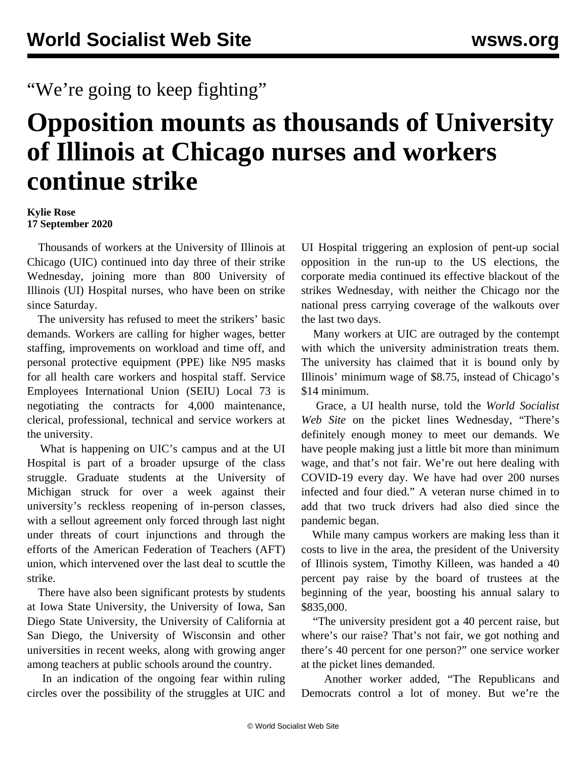## "We're going to keep fighting"

## **Opposition mounts as thousands of University of Illinois at Chicago nurses and workers continue strike**

## **Kylie Rose 17 September 2020**

 Thousands of workers at the University of Illinois at Chicago (UIC) continued into day three of their strike Wednesday, joining more than 800 University of Illinois (UI) Hospital nurses, who have been on strike since Saturday.

 The university has refused to meet the strikers' basic demands. Workers are calling for higher wages, better staffing, improvements on workload and time off, and personal protective equipment (PPE) like N95 masks for all health care workers and hospital staff. Service Employees International Union (SEIU) Local 73 is negotiating the contracts for 4,000 maintenance, clerical, professional, technical and service workers at the university.

 What is happening on UIC's campus and at the UI Hospital is part of a broader upsurge of the class struggle. Graduate students at the University of Michigan struck for over a week against their university's reckless reopening of in-person classes, with a sellout agreement only forced through last night under threats of court injunctions and through the efforts of the American Federation of Teachers (AFT) union, which intervened over the last deal to scuttle the strike.

 There have also been significant protests by students at Iowa State University, the University of Iowa, San Diego State University, the University of California at San Diego, the University of Wisconsin and other universities in recent weeks, along with growing anger among teachers at public schools around the country.

 In an indication of the ongoing fear within ruling circles over the possibility of the struggles at UIC and UI Hospital triggering an explosion of pent-up social opposition in the run-up to the US elections, the corporate media continued its effective blackout of the strikes Wednesday, with neither the Chicago nor the national press carrying coverage of the walkouts over the last two days.

 Many workers at UIC are outraged by the contempt with which the university administration treats them. The university has claimed that it is bound only by Illinois' minimum wage of \$8.75, instead of Chicago's \$14 minimum.

 Grace, a UI health nurse, told the *World Socialist Web Site* on the picket lines Wednesday, "There's definitely enough money to meet our demands. We have people making just a little bit more than minimum wage, and that's not fair. We're out here dealing with COVID-19 every day. We have had over 200 nurses infected and four died." A veteran nurse chimed in to add that two truck drivers had also died since the pandemic began.

 While many campus workers are making less than it costs to live in the area, the president of the University of Illinois system, Timothy Killeen, was handed a 40 percent pay raise by the board of trustees at the beginning of the year, boosting his annual salary to \$835,000.

 "The university president got a 40 percent raise, but where's our raise? That's not fair, we got nothing and there's 40 percent for one person?" one service worker at the picket lines demanded.

 Another worker added, "The Republicans and Democrats control a lot of money. But we're the